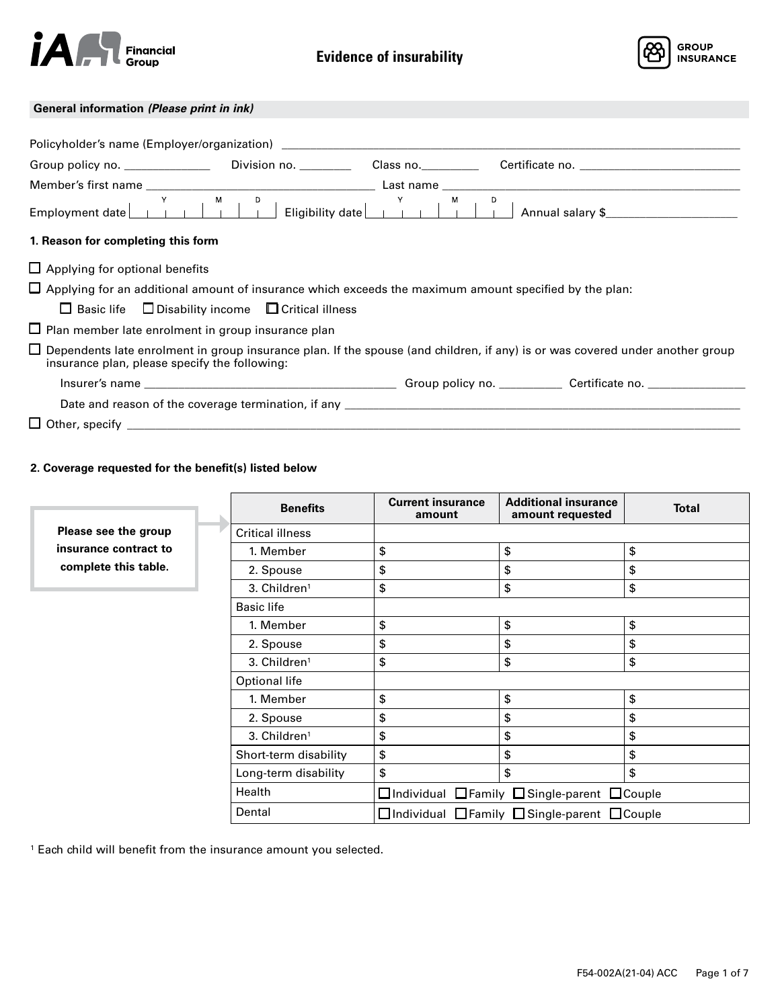



# **General information** *(Please print in ink)*

| 1. Reason for completing this form                                                                            |  |                                                                                                                                      |
|---------------------------------------------------------------------------------------------------------------|--|--------------------------------------------------------------------------------------------------------------------------------------|
| $\Box$ Applying for optional benefits                                                                         |  |                                                                                                                                      |
| $\Box$ Applying for an additional amount of insurance which exceeds the maximum amount specified by the plan: |  |                                                                                                                                      |
| $\Box$ Basic life $\Box$ Disability income $\Box$ Critical illness                                            |  |                                                                                                                                      |
| $\Box$ Plan member late enrolment in group insurance plan                                                     |  |                                                                                                                                      |
| insurance plan, please specify the following:                                                                 |  | $\Box$ Dependents late enrolment in group insurance plan. If the spouse (and children, if any) is or was covered under another group |
|                                                                                                               |  |                                                                                                                                      |
|                                                                                                               |  |                                                                                                                                      |
|                                                                                                               |  |                                                                                                                                      |

# **2. Coverage requested for the benefit(s) listed below**

|                       | <b>Benefits</b>         | <b>Current insurance</b><br>amount         | <b>Additional insurance</b><br>amount requested | <b>Total</b> |  |  |
|-----------------------|-------------------------|--------------------------------------------|-------------------------------------------------|--------------|--|--|
| Please see the group  | <b>Critical illness</b> |                                            |                                                 |              |  |  |
| insurance contract to | 1. Member               | \$                                         | \$                                              | \$           |  |  |
| complete this table.  | 2. Spouse               | \$                                         | \$                                              | \$           |  |  |
|                       | 3. $Childer1$           | \$                                         | \$                                              | \$           |  |  |
|                       | <b>Basic life</b>       |                                            |                                                 |              |  |  |
|                       | 1. Member               | \$                                         | \$                                              | \$           |  |  |
|                       | 2. Spouse               | \$                                         | \$                                              | \$           |  |  |
|                       | 3. $Childer1$           | \$                                         | \$                                              | \$           |  |  |
|                       | Optional life           |                                            |                                                 |              |  |  |
|                       | 1. Member               | \$                                         | \$                                              | \$           |  |  |
|                       | 2. Spouse               | \$                                         | \$                                              | \$           |  |  |
|                       | 3. $Childer1$           | \$                                         | \$                                              | \$           |  |  |
|                       | Short-term disability   | \$                                         | \$                                              | \$           |  |  |
|                       | Long-term disability    | \$                                         | \$                                              | \$           |  |  |
|                       | Health                  |                                            | □Individual □Family □Single-parent □Couple      |              |  |  |
|                       | Dental                  | □Individual □Family □Single-parent □Couple |                                                 |              |  |  |

1 Each child will benefit from the insurance amount you selected.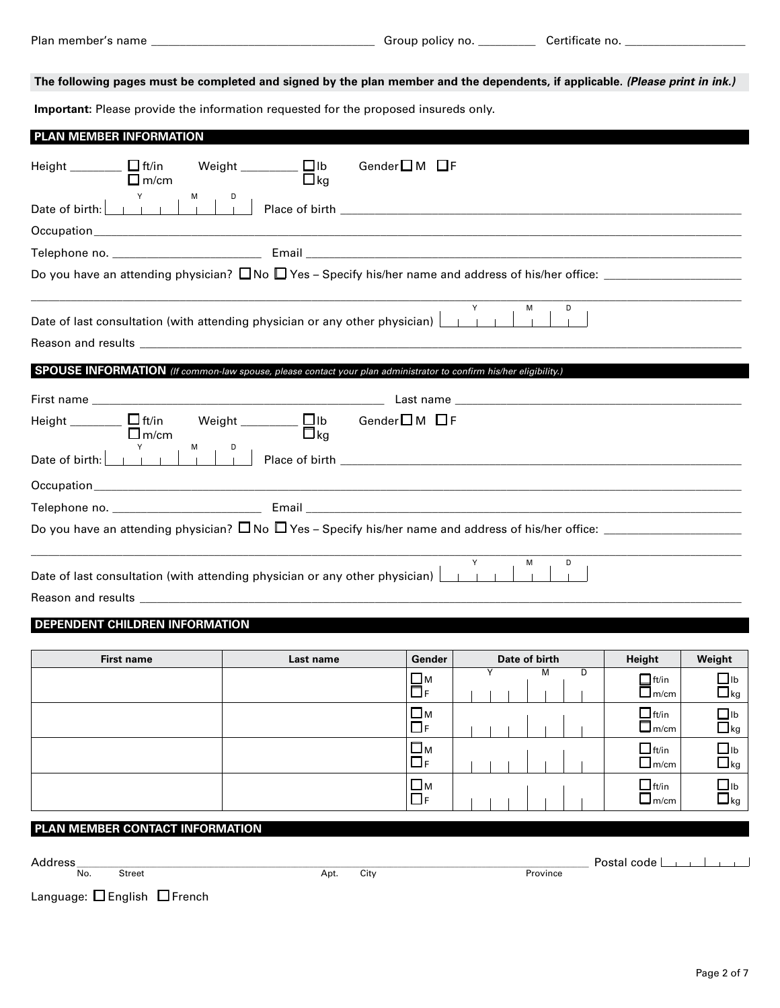**The following pages must be completed and signed by the plan member and the dependents, if applicable.** *(Please print in ink.)*

**Important:** Please provide the information requested for the proposed insureds only.

| Height _______ □ ft/in Weight _______ □ lb<br>Gender $\square$ M $\square$ F<br>$\Box$ m/cm<br>$\Box$ kg              |
|-----------------------------------------------------------------------------------------------------------------------|
|                                                                                                                       |
|                                                                                                                       |
|                                                                                                                       |
| Do you have an attending physician? $\Box$ No $\Box$ Yes – Specify his/her name and address of his/her office: $\Box$ |
| D<br>M<br>Date of last consultation (with attending physician or any other physician) $\boxed{\phantom{a}}$           |
|                                                                                                                       |
|                                                                                                                       |
| SPOUSE INFORMATION (If common-law spouse, please contact your plan administrator to confirm his/her eligibility.)     |
|                                                                                                                       |
| Weight $\Box$ $\Box$ Ib Gender $\Box$ M $\Box$ F<br>Height $\Box$ $\Box$ ft/in<br>$\Box$ ka<br>$\Box$ m/cm            |
|                                                                                                                       |
|                                                                                                                       |
|                                                                                                                       |
| Do you have an attending physician? $\Box$ No $\Box$ Yes - Specify his/her name and address of his/her office: $\Box$ |

## **DEPENDENT CHILDREN INFORMATION**

|  | Gender                  | Date of birth | Height                           | Weight                                 |
|--|-------------------------|---------------|----------------------------------|----------------------------------------|
|  | $\prod_{F}^{M}$         | M<br>D        | $\Box$ ft/in<br>_<br>$\Box$ m/cm | $\mathsf{u}_{\mathsf{L}}$<br>$\Box$ kg |
|  | $\Box$ M<br>$\Box$ F    |               | $\Box$ ft/in<br>$\Box$ m/cm      | $\Box$ lb<br>$\Box$ kg                 |
|  | $\square$ M<br>$\Box$ F |               | $\Box$ ft/in<br>$\Box$ m/cm      | $\blacksquare$ lb<br>$\Box$ kg         |
|  | $\Box$ M<br>$\Box$ F    |               | $\Box$ ft/in<br>$L$ m/cm         | $\Box$ lb<br>$\Box$ kg                 |

# **PLAN MEMBER CONTACT INFORMATION**

No. Street Apt. City Province

Address \_\_\_\_\_\_\_\_\_\_\_\_\_\_\_\_\_\_\_\_\_\_\_\_\_\_\_\_\_\_\_\_\_\_\_\_\_\_\_\_\_\_\_\_\_\_\_\_\_\_\_\_\_\_\_\_\_\_\_\_\_\_\_\_\_\_\_\_\_\_\_\_\_\_\_\_\_\_\_\_\_\_\_\_\_\_ Postal code

Language:  $\square$  English  $\square$  French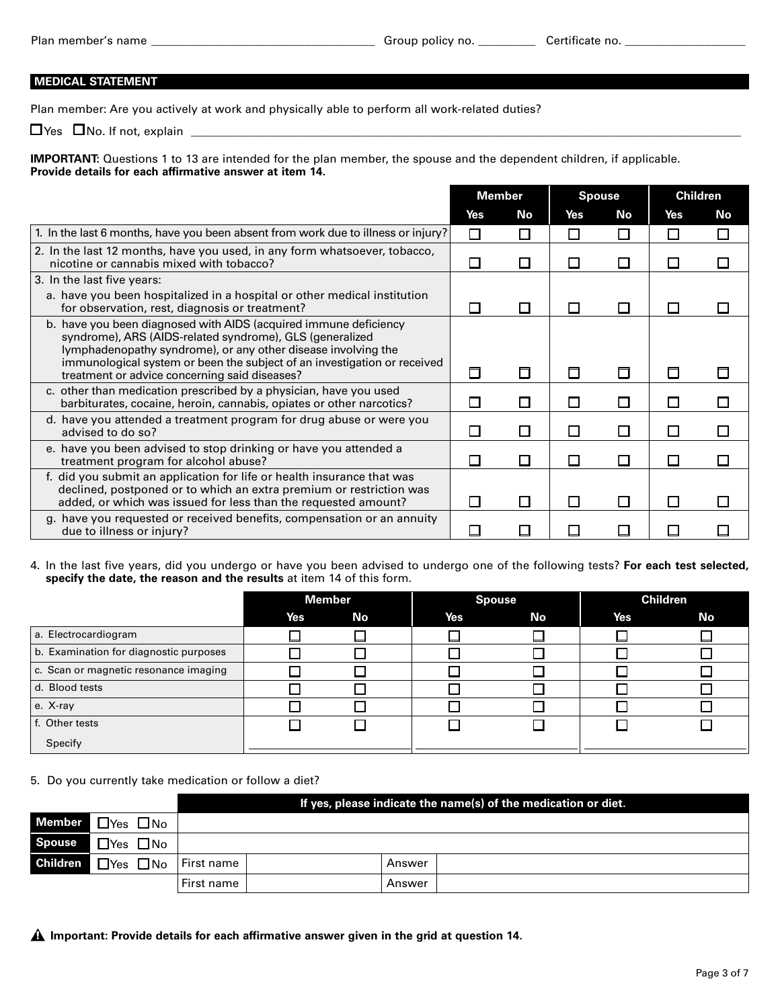### **MEDICAL STATEMENT**

Plan member: Are you actively at work and physically able to perform all work-related duties?

 $\Box$  Yes  $\Box$  No. If not, explain  $\Box$ 

**IMPORTANT:** Questions 1 to 13 are intended for the plan member, the spouse and the dependent children, if applicable. **Provide details for each affirmative answer at item 14.**

|                                                                                                                                                                                                                                                                                                                            |                | Member |                             | <b>Spouse</b> |              | <b>Children</b> |
|----------------------------------------------------------------------------------------------------------------------------------------------------------------------------------------------------------------------------------------------------------------------------------------------------------------------------|----------------|--------|-----------------------------|---------------|--------------|-----------------|
|                                                                                                                                                                                                                                                                                                                            | Yes            | No     | Yes                         | <b>No</b>     | Yes          | No              |
| 1. In the last 6 months, have you been absent from work due to illness or injury?                                                                                                                                                                                                                                          | П              |        | □                           | П             | П            | П               |
| 2. In the last 12 months, have you used, in any form whatsoever, tobacco,<br>nicotine or cannabis mixed with tobacco?                                                                                                                                                                                                      | $\mathcal{L}$  | П      | $\Box$                      | $\Box$        | $\Box$       |                 |
| 3. In the last five years:                                                                                                                                                                                                                                                                                                 |                |        |                             |               |              |                 |
| a. have you been hospitalized in a hospital or other medical institution<br>for observation, rest, diagnosis or treatment?                                                                                                                                                                                                 |                | Ш      | $\mathcal{L}_{\mathcal{A}}$ | $\Box$        | $\mathbf{I}$ |                 |
| b. have you been diagnosed with AIDS (acquired immune deficiency<br>syndrome), ARS (AIDS-related syndrome), GLS (generalized<br>lymphadenopathy syndrome), or any other disease involving the<br>immunological system or been the subject of an investigation or received<br>treatment or advice concerning said diseases? | $\Box$         | □      | 口                           | $\Box$        | П            |                 |
| c. other than medication prescribed by a physician, have you used<br>barbiturates, cocaine, heroin, cannabis, opiates or other narcotics?                                                                                                                                                                                  | $\blacksquare$ | П      | □                           | □             | $\Box$       |                 |
| d. have you attended a treatment program for drug abuse or were you<br>advised to do so?                                                                                                                                                                                                                                   | $\mathcal{L}$  | П      | П                           | $\Box$        | $\Box$       |                 |
| e. have you been advised to stop drinking or have you attended a<br>treatment program for alcohol abuse?                                                                                                                                                                                                                   |                | П      | $\Box$                      | $\Box$        | $\Box$       |                 |
| f. did you submit an application for life or health insurance that was<br>declined, postponed or to which an extra premium or restriction was<br>added, or which was issued for less than the requested amount?                                                                                                            | $\mathbf{I}$   | П      | П                           | $\Box$        | П            |                 |
| g. have you requested or received benefits, compensation or an annuity<br>due to illness or injury?                                                                                                                                                                                                                        |                |        |                             |               |              |                 |

### 4. In the last five years, did you undergo or have you been advised to undergo one of the following tests? **For each test selected, specify the date, the reason and the results** at item 14 of this form.

|                                        |     | <b>Member</b> |            | <b>Spouse</b> |     | <b>Children</b> |
|----------------------------------------|-----|---------------|------------|---------------|-----|-----------------|
|                                        | Yes | No            | <b>Yes</b> | No            | Yes | No              |
| a. Electrocardiogram                   |     |               |            |               |     |                 |
| b. Examination for diagnostic purposes |     |               |            |               |     |                 |
| c. Scan or magnetic resonance imaging  |     |               |            |               |     |                 |
| d. Blood tests                         |     |               |            |               |     |                 |
| e. X-ray                               |     |               |            |               |     |                 |
| f. Other tests                         |     |               |            |               |     |                 |
| Specify                                |     |               |            |               |     |                 |

### 5. Do you currently take medication or follow a diet?

|               |                                                 |            | If yes, please indicate the name(s) of the medication or diet. |        |  |  |  |  |  |  |
|---------------|-------------------------------------------------|------------|----------------------------------------------------------------|--------|--|--|--|--|--|--|
|               | Member $\Box$ Yes $\Box$ No                     |            |                                                                |        |  |  |  |  |  |  |
| <b>Spouse</b> | $\Box$ Yes $\Box$ No                            |            |                                                                |        |  |  |  |  |  |  |
|               | <b>Children</b> $\Box$ Yes $\Box$ No First name |            |                                                                | Answer |  |  |  |  |  |  |
|               |                                                 | First name |                                                                | Answer |  |  |  |  |  |  |

**Important: Provide details for each affirmative answer given in the grid at question 14.**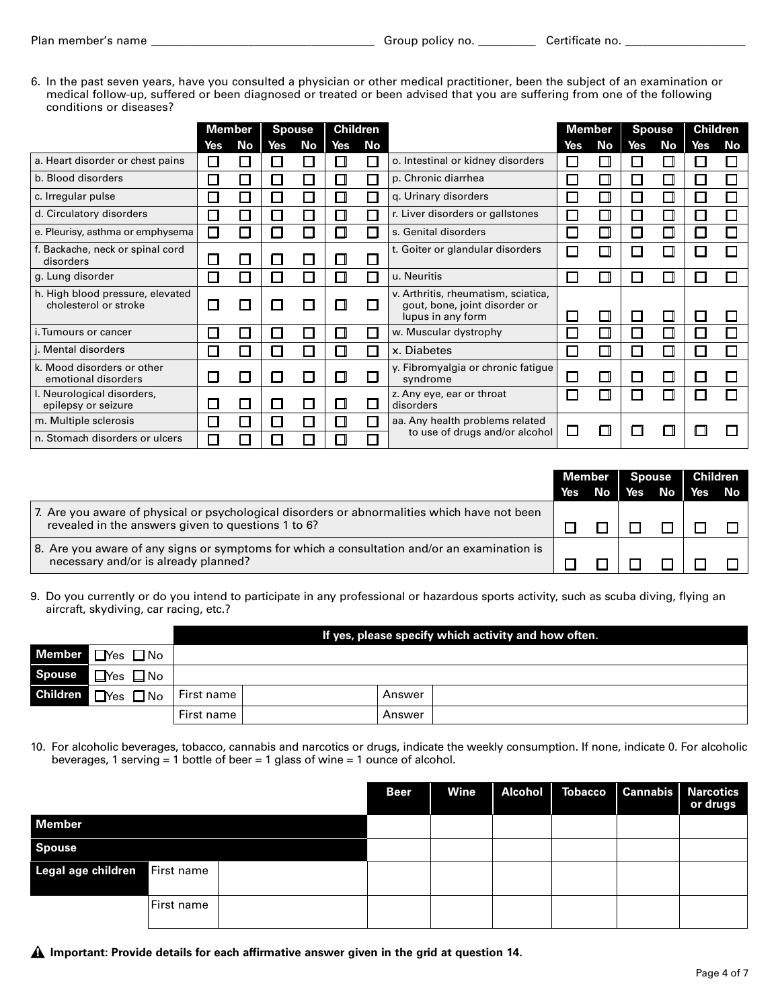6. In the past seven years, have you consulted a physician or other medical practitioner, been the subject of an examination or medical follow-up, suffered or been diagnosed or treated or been advised that you are suffering from one of the following conditions or diseases?

|                                                           |              | Member        |              | <b>Spouse</b> |              | <b>Children</b> |                                                                                           |                          | <b>Member</b> |                          | <b>Spouse</b> |     | <b>Children</b> |
|-----------------------------------------------------------|--------------|---------------|--------------|---------------|--------------|-----------------|-------------------------------------------------------------------------------------------|--------------------------|---------------|--------------------------|---------------|-----|-----------------|
|                                                           | Yes          | <b>No</b>     | Yes          | No            | Yes          | <b>No</b>       |                                                                                           | Yes                      | No            | Yes                      | No            | Yes | No              |
| a. Heart disorder or chest pains                          | $\mathbf{I}$ | $\Box$        | $\mathbf{I}$ |               | H            |                 | o. Intestinal or kidney disorders                                                         | П                        |               | ы                        | $\Box$        |     |                 |
| b. Blood disorders                                        |              | □             | $\Box$       |               | П            |                 | p. Chronic diarrhea                                                                       | $\Box$                   |               | $\overline{\phantom{a}}$ | П             |     |                 |
| c. Irregular pulse                                        |              | ┓             | $\mathbf{L}$ |               | П            |                 | q. Urinary disorders                                                                      | $\Box$                   |               | $\overline{\phantom{a}}$ | П             |     |                 |
| d. Circulatory disorders                                  |              | - 1           | $\Box$       |               | П            |                 | r. Liver disorders or gallstones                                                          | $\Box$                   |               | $\overline{\phantom{a}}$ | П             |     |                 |
| e. Pleurisy, asthma or emphysema                          | П            | ⊓             | $\Box$       |               | П            |                 | s. Genital disorders                                                                      | $\Box$                   |               | E.                       | П             |     |                 |
| f. Backache, neck or spinal cord<br>disorders             |              |               | $\mathsf{L}$ |               | $\mathbf{I}$ |                 | t. Goiter or glandular disorders                                                          | $\Box$                   |               | П                        | □             |     |                 |
| g. Lung disorder                                          | l l          | ┑             | $\Box$       |               | П            |                 | u. Neuritis                                                                               | П                        |               |                          | П             |     |                 |
| h. High blood pressure, elevated<br>cholesterol or stroke |              | H             |              |               |              |                 | v. Arthritis, rheumatism, sciatica,<br>gout, bone, joint disorder or<br>lupus in any form | $\overline{\phantom{a}}$ | $\Box$        |                          | □             |     |                 |
| i. Tumours or cancer                                      |              | $\mathcal{A}$ | $\mathbf{I}$ |               | $\mathbf{I}$ |                 | w. Muscular dystrophy                                                                     | П                        |               | $\overline{\phantom{a}}$ | П             |     |                 |
| j. Mental disorders                                       |              |               | $\mathbf{I}$ |               | П            |                 | x. Diabetes                                                                               | $\overline{\phantom{a}}$ |               |                          | П             |     |                 |
| k. Mood disorders or other<br>emotional disorders         |              |               |              |               | П            |                 | y. Fibromyalgia or chronic fatigue<br>syndrome                                            | $\overline{\phantom{a}}$ |               |                          | П             |     |                 |
| I. Neurological disorders,<br>epilepsy or seizure         |              |               | $\mathbf{I}$ |               | П            |                 | z. Any eye, ear or throat<br>disorders                                                    | П                        |               | Π                        | П             |     |                 |
| m. Multiple sclerosis                                     |              | ┑             | $\Box$       |               | П            |                 | aa. Any health problems related                                                           |                          |               |                          |               |     |                 |
| n. Stomach disorders or ulcers                            |              |               |              |               |              |                 | to use of drugs and/or alcohol                                                            | $\Box$                   |               |                          |               |     |                 |

|                                                                                                                                                    |            | Member | <b>Spouse</b>     | <b>Children</b> |  |
|----------------------------------------------------------------------------------------------------------------------------------------------------|------------|--------|-------------------|-----------------|--|
|                                                                                                                                                    | <b>Yes</b> |        | $\mathsf{No}$ Yes | No Yes No       |  |
| 7. Are you aware of physical or psychological disorders or abnormalities which have not been<br>revealed in the answers given to questions 1 to 6? |            |        |                   |                 |  |
| 8. Are you aware of any signs or symptoms for which a consultation and/or an examination is<br>necessary and/or is already planned?                |            |        |                   |                 |  |

9. Do you currently or do you intend to participate in any professional or hazardous sports activity, such as scuba diving, flying an aircraft, skydiving, car racing, etc.?

|                 |                      |            |        | If yes, please specify which activity and how often. |
|-----------------|----------------------|------------|--------|------------------------------------------------------|
|                 | Member Nes ONo       |            |        |                                                      |
| <b>Spouse</b>   | $\Box$ Yes $\Box$ No |            |        |                                                      |
| <b>Children</b> | $\Box$ Yes $\Box$ No | First name | Answer |                                                      |
|                 |                      | First name | Answer |                                                      |

10. For alcoholic beverages, tobacco, cannabis and narcotics or drugs, indicate the weekly consumption. If none, indicate 0. For alcoholic beverages, 1 serving = 1 bottle of beer = 1 glass of wine = 1 ounce of alcohol.

|                               |            | <b>Beer</b> | Wine | Alcohol   Tobacco   Cannabis   Narcotics | or drugs |
|-------------------------------|------------|-------------|------|------------------------------------------|----------|
| <b>Member</b>                 |            |             |      |                                          |          |
| <b>Spouse</b>                 |            |             |      |                                          |          |
| Legal age children First name |            |             |      |                                          |          |
|                               | First name |             |      |                                          |          |

**Important: Provide details for each affirmative answer given in the grid at question 14.**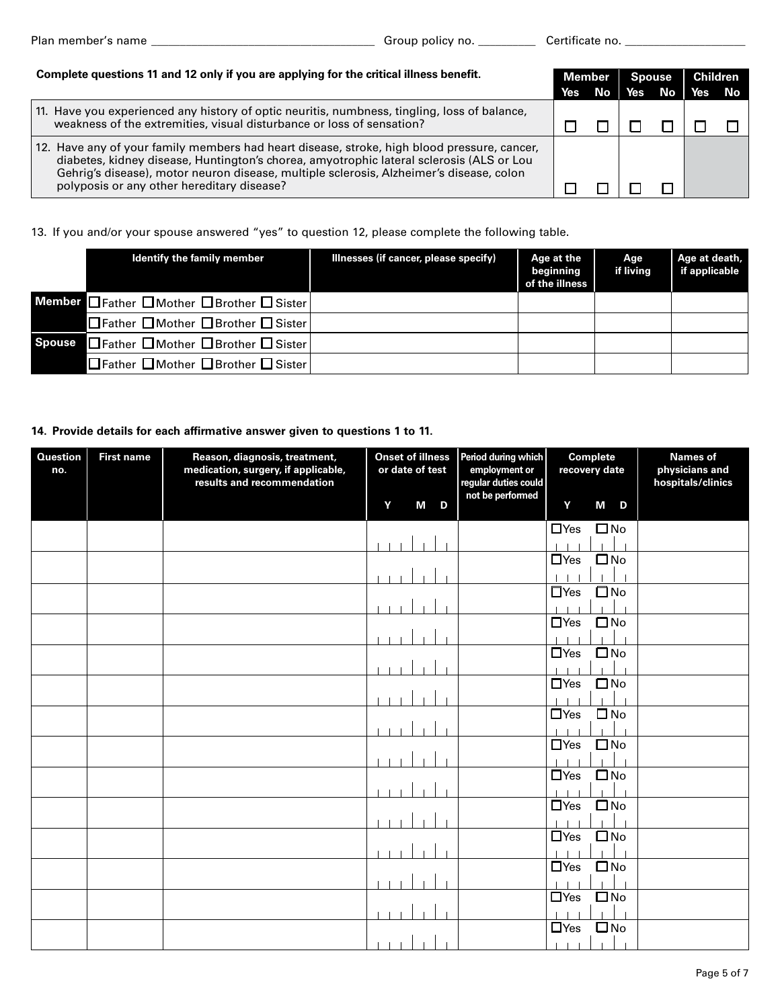| Complete questions 11 and 12 only if you are applying for the critical illness benefit.                                                                                                                                                                                                                                          | Member |    | <b>Spouse</b> |    | <b>Children</b> |  |
|----------------------------------------------------------------------------------------------------------------------------------------------------------------------------------------------------------------------------------------------------------------------------------------------------------------------------------|--------|----|---------------|----|-----------------|--|
|                                                                                                                                                                                                                                                                                                                                  | Yes    | No | Yes           | No | Yes No          |  |
| 11. Have you experienced any history of optic neuritis, numbness, tingling, loss of balance,<br>weakness of the extremities, visual disturbance or loss of sensation?                                                                                                                                                            |        |    |               |    |                 |  |
| 12. Have any of your family members had heart disease, stroke, high blood pressure, cancer,<br>diabetes, kidney disease, Huntington's chorea, amyotrophic lateral sclerosis (ALS or Lou<br>Gehrig's disease), motor neuron disease, multiple sclerosis, Alzheimer's disease, colon<br>polyposis or any other hereditary disease? |        |    |               |    |                 |  |

# 13. If you and/or your spouse answered "yes" to question 12, please complete the following table.

| <b>Identify the family member</b>         | Illnesses (if cancer, please specify) | Age at the<br>beginning<br>of the illness | Age<br>if living | Age at death,<br>if applicable |
|-------------------------------------------|---------------------------------------|-------------------------------------------|------------------|--------------------------------|
| Member Father □ Mother □ Brother □ Sister |                                       |                                           |                  |                                |
| □Father □ Mother □ Brother □ Sister       |                                       |                                           |                  |                                |
| Spouse Father ■Mother Brother Sister      |                                       |                                           |                  |                                |
| □Father □Mother □Brother □ Sister         |                                       |                                           |                  |                                |

### **14. Provide details for each affirmative answer given to questions 1 to 11.**

| <b>Question</b><br>no. | <b>First name</b> | Reason, diagnosis, treatment,<br>medication, surgery, if applicable,<br>results and recommendation | <b>Onset of illness</b><br>or date of test | Period during which<br>employment or<br>regular duties could | <b>Complete</b><br>recovery date | <b>Names of</b><br>physicians and<br>hospitals/clinics |
|------------------------|-------------------|----------------------------------------------------------------------------------------------------|--------------------------------------------|--------------------------------------------------------------|----------------------------------|--------------------------------------------------------|
|                        |                   |                                                                                                    | M<br>Y<br>D                                | not be performed                                             | Y<br>M<br>D                      |                                                        |
|                        |                   |                                                                                                    |                                            |                                                              | $\square$ No<br>$\Box$ Yes       |                                                        |
|                        |                   |                                                                                                    |                                            |                                                              | $\square$ No<br>$\Box$ Yes       |                                                        |
|                        |                   |                                                                                                    |                                            |                                                              |                                  |                                                        |
|                        |                   |                                                                                                    |                                            |                                                              | $\Box$ Yes<br>$\square$ No       |                                                        |
|                        |                   |                                                                                                    |                                            |                                                              |                                  |                                                        |
|                        |                   |                                                                                                    |                                            |                                                              | $\square$ No<br>$\Box$ Yes       |                                                        |
|                        |                   |                                                                                                    |                                            |                                                              |                                  |                                                        |
|                        |                   |                                                                                                    |                                            |                                                              | $\Box$ Yes<br>$\square$ No       |                                                        |
|                        |                   |                                                                                                    |                                            |                                                              |                                  |                                                        |
|                        |                   |                                                                                                    |                                            |                                                              | $\square$ No<br>$\Box$ Yes       |                                                        |
|                        |                   |                                                                                                    |                                            |                                                              | $\square$ No<br>$\Box$ Yes       |                                                        |
|                        |                   |                                                                                                    |                                            |                                                              |                                  |                                                        |
|                        |                   |                                                                                                    |                                            |                                                              | $\Box$ Yes<br>$\square$ No       |                                                        |
|                        |                   |                                                                                                    |                                            |                                                              |                                  |                                                        |
|                        |                   |                                                                                                    |                                            |                                                              | $\square$ No<br>$\Box$ Yes       |                                                        |
|                        |                   |                                                                                                    |                                            |                                                              |                                  |                                                        |
|                        |                   |                                                                                                    |                                            |                                                              | $\square$ No<br>$\Box$ Yes       |                                                        |
|                        |                   |                                                                                                    |                                            |                                                              |                                  |                                                        |
|                        |                   |                                                                                                    |                                            |                                                              | $\square$ No<br>$\Box$ Yes       |                                                        |
|                        |                   |                                                                                                    |                                            |                                                              | $\square$ No<br>$\Box$ Yes       |                                                        |
|                        |                   |                                                                                                    |                                            |                                                              |                                  |                                                        |
|                        |                   |                                                                                                    |                                            |                                                              | $\square$ No<br>$\Box$ Yes       |                                                        |
|                        |                   |                                                                                                    |                                            |                                                              |                                  |                                                        |
|                        |                   |                                                                                                    |                                            |                                                              | $\Box$ Yes<br>$\square$ No       |                                                        |
|                        |                   |                                                                                                    |                                            |                                                              |                                  |                                                        |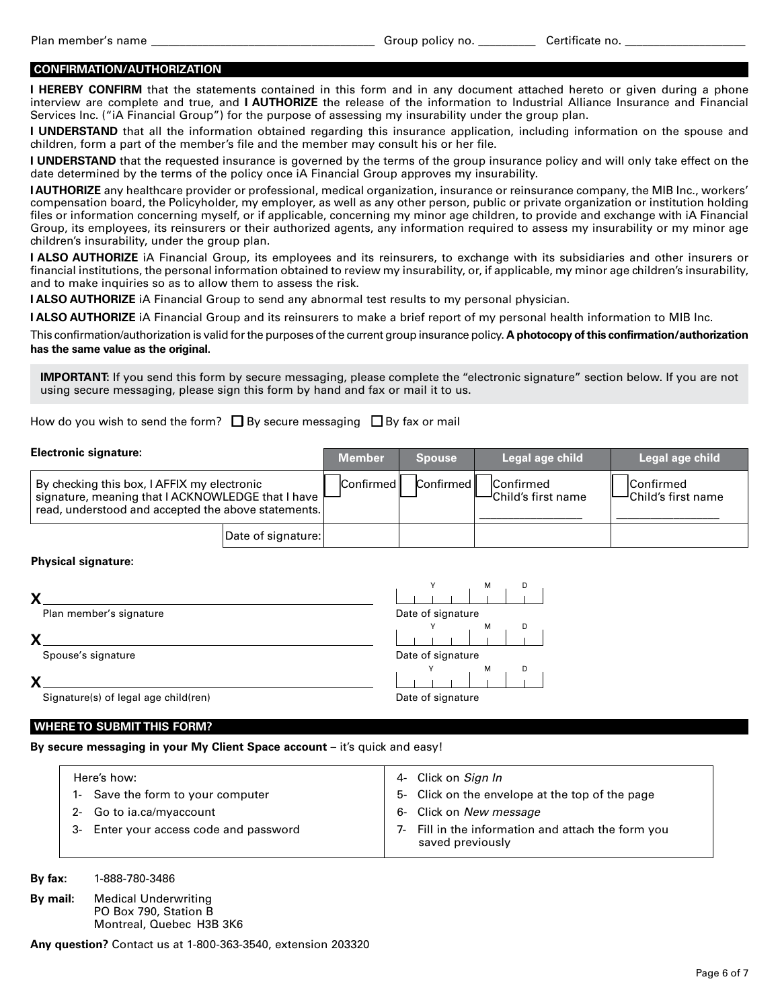### **CONFIRMATION/AUTHORIZATION**

**I HEREBY CONFIRM** that the statements contained in this form and in any document attached hereto or given during a phone interview are complete and true, and **I AUTHORIZE** the release of the information to Industrial Alliance Insurance and Financial Services Inc. ("iA Financial Group") for the purpose of assessing my insurability under the group plan.

**I UNDERSTAND** that all the information obtained regarding this insurance application, including information on the spouse and children, form a part of the member's file and the member may consult his or her file.

**I UNDERSTAND** that the requested insurance is governed by the terms of the group insurance policy and will only take effect on the date determined by the terms of the policy once iA Financial Group approves my insurability.

**I AUTHORIZE** any healthcare provider or professional, medical organization, insurance or reinsurance company, the MIB Inc., workers' compensation board, the Policyholder, my employer, as well as any other person, public or private organization or institution holding files or information concerning myself, or if applicable, concerning my minor age children, to provide and exchange with iA Financial Group, its employees, its reinsurers or their authorized agents, any information required to assess my insurability or my minor age children's insurability, under the group plan.

**I ALSO AUTHORIZE** iA Financial Group, its employees and its reinsurers, to exchange with its subsidiaries and other insurers or financial institutions, the personal information obtained to review my insurability, or, if applicable, my minor age children's insurability, and to make inquiries so as to allow them to assess the risk.

**I ALSO AUTHORIZE** iA Financial Group to send any abnormal test results to my personal physician.

**I ALSO AUTHORIZE** iA Financial Group and its reinsurers to make a brief report of my personal health information to MIB Inc.

This confirmation/authorization is valid for the purposes of the current group insurance policy. **A photocopy of this confirmation/authorization has the same value as the original.**

**IMPORTANT:** If you send this form by secure messaging, please complete the "electronic signature" section below. If you are not using secure messaging, please sign this form by hand and fax or mail it to us.

How do you wish to send the form?  $\square$  By secure messaging  $\square$  By fax or mail

| <b>Electronic signature:</b>                                                                                                                            |                    | <b>Member</b>    | <b>Spouse</b> | Legal age child                          | ∣ Legal age child ॑                     |
|---------------------------------------------------------------------------------------------------------------------------------------------------------|--------------------|------------------|---------------|------------------------------------------|-----------------------------------------|
| By checking this box, I AFFIX my electronic<br>signature, meaning that I ACKNOWLEDGE that I have<br>read, understood and accepted the above statements. |                    | <b>Confirmed</b> | Confirmed     | Confirmed<br><b>⊣</b> Child′s first name | <b>Confirmed</b><br>-Child's first name |
|                                                                                                                                                         | Date of signature: |                  |               |                                          |                                         |

### **Physical signature:**

| ν                                    | M<br>D            |  |  |
|--------------------------------------|-------------------|--|--|
| Plan member's signature              | Date of signature |  |  |
| v                                    | м<br>D            |  |  |
| Spouse's signature                   | Date of signature |  |  |
| v                                    | м<br>D            |  |  |
| Signature(s) of legal age child(ren) | Date of signature |  |  |

### **WHERE TO SUBMIT THIS FORM?**

**By secure messaging in your My Client Space account** – it's quick and easy!

| Here's how:                            | 4- Click on Sign In                                                    |
|----------------------------------------|------------------------------------------------------------------------|
| 1- Save the form to your computer      | 5- Click on the envelope at the top of the page                        |
| 2- Go to ia.ca/myaccount               | 6- Click on New message                                                |
| 3- Enter your access code and password | 7- Fill in the information and attach the form you<br>saved previously |

**By fax:** 1-888-780-3486

| By mail: | <b>Medical Underwriting</b> |  |
|----------|-----------------------------|--|
|          | PO Box 790, Station B       |  |
|          | Montreal, Quebec H3B 3K6    |  |

**Any question?** Contact us at 1-800-363-3540, extension 203320